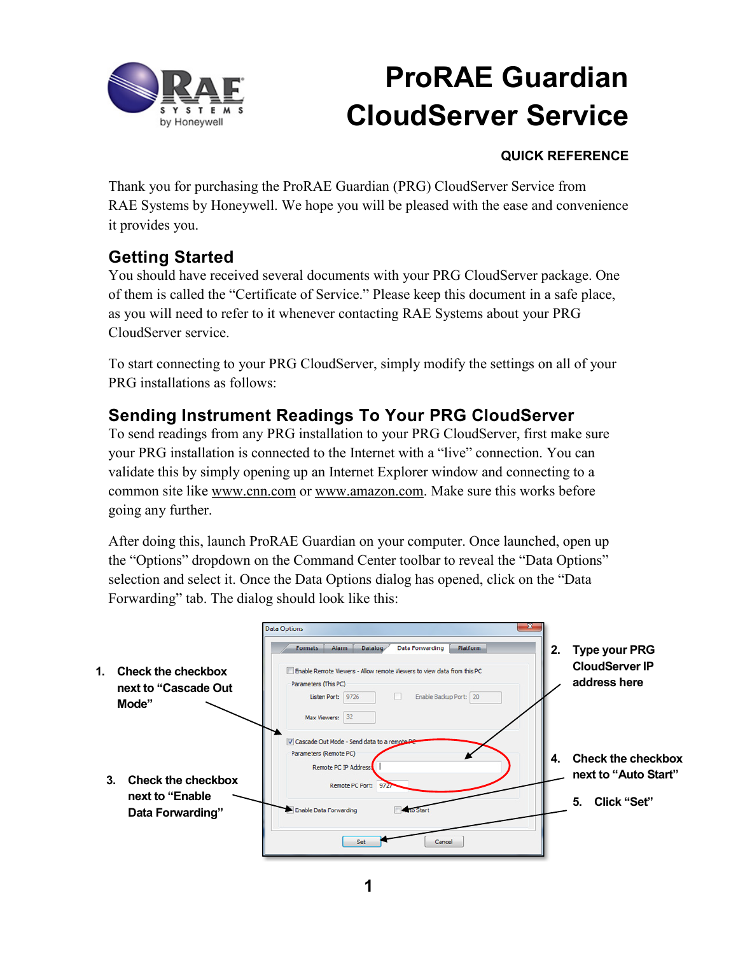

### **QUICK REFERENCE**

Thank you for purchasing the ProRAE Guardian (PRG) CloudServer Service from RAE Systems by Honeywell. We hope you will be pleased with the ease and convenience it provides you.

## **Getting Started**

You should have received several documents with your PRG CloudServer package. One of them is called the "Certificate of Service." Please keep this document in a safe place, as you will need to refer to it whenever contacting RAE Systems about your PRG CloudServer service.

To start connecting to your PRG CloudServer, simply modify the settings on all of your PRG installations as follows:

## **Sending Instrument Readings To Your PRG CloudServer**

To send readings from any PRG installation to your PRG CloudServer, first make sure your PRG installation is connected to the Internet with a "live" connection. You can validate this by simply opening up an Internet Explorer window and connecting to a common site like www.cnn.com or www.amazon.com. Make sure this works before going any further.

After doing this, launch ProRAE Guardian on your computer. Once launched, open up the "Options" dropdown on the Command Center toolbar to reveal the "Data Options" selection and select it. Once the Data Options dialog has opened, click on the "Data Forwarding" tab. The dialog should look like this:

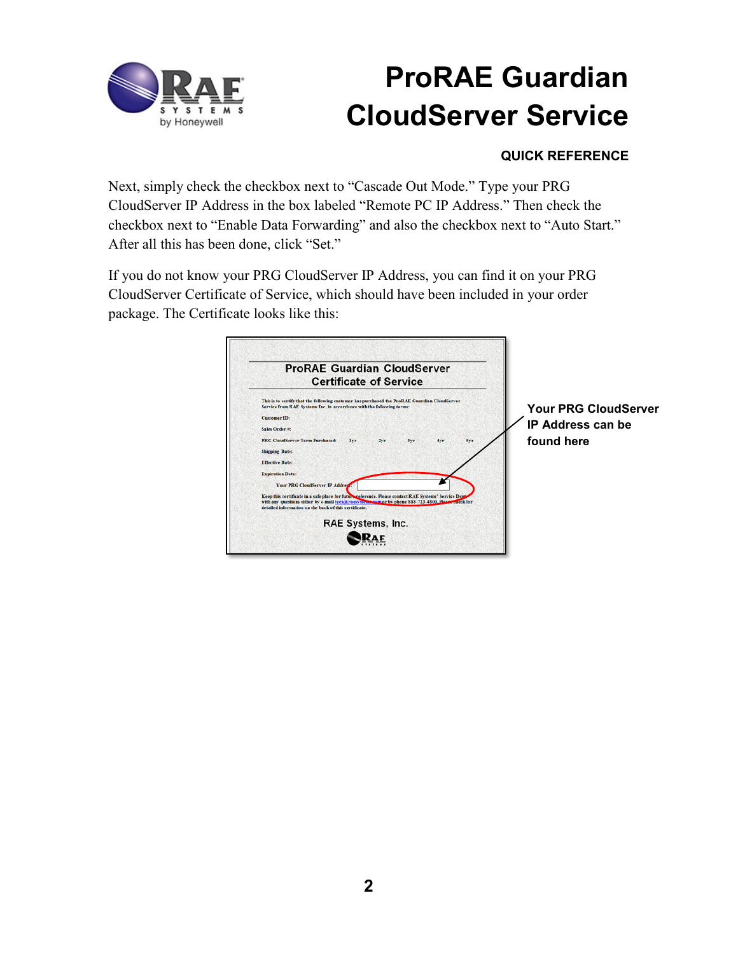

### **QUICK REFERENCE**

Next, simply check the checkbox next to "Cascade Out Mode." Type your PRG CloudServer IP Address in the box labeled "Remote PC IP Address." Then check the checkbox next to "Enable Data Forwarding" and also the checkbox next to "Auto Start." After all this has been done, click "Set."

If you do not know your PRG CloudServer IP Address, you can find it on your PRG CloudServer Certificate of Service, which should have been included in your order package. The Certificate looks like this:

| <b>ProRAE Guardian CloudServer</b><br><b>Certificate of Service</b>                                                                                                                                                                                                                                            |                                                                       |
|----------------------------------------------------------------------------------------------------------------------------------------------------------------------------------------------------------------------------------------------------------------------------------------------------------------|-----------------------------------------------------------------------|
| This is to certify that the following customer has purchased the ProRAE Guardian CloudServer<br>Service from RAE Systems Inc. in accordance with the following terms:<br><b>Customer ID:</b><br>Sales Order #:<br><b>PRG CloudServer Term Purchased:</b><br>2yr<br>5yr<br><b>lvr</b><br>3 <sub>ST</sub><br>4yr | <b>Your PRG CloudServer</b><br><b>IP Address can be</b><br>found here |
| <b>Shipping Date:</b><br><b>Effective Date:</b><br><b>Expiration Date:</b>                                                                                                                                                                                                                                     |                                                                       |
| Your PRG CloudServer IP Addrey.<br>Keep this certificate in a safe place for future reference. Please contact RAE Systems' Service Dept-<br>with any questions either by e-mail tech a raesy stem com or by phone SSS-723-4800. Please raeck for<br>detailed information on the back of this certificate.      |                                                                       |
| <b>RAE Systems, Inc.</b>                                                                                                                                                                                                                                                                                       |                                                                       |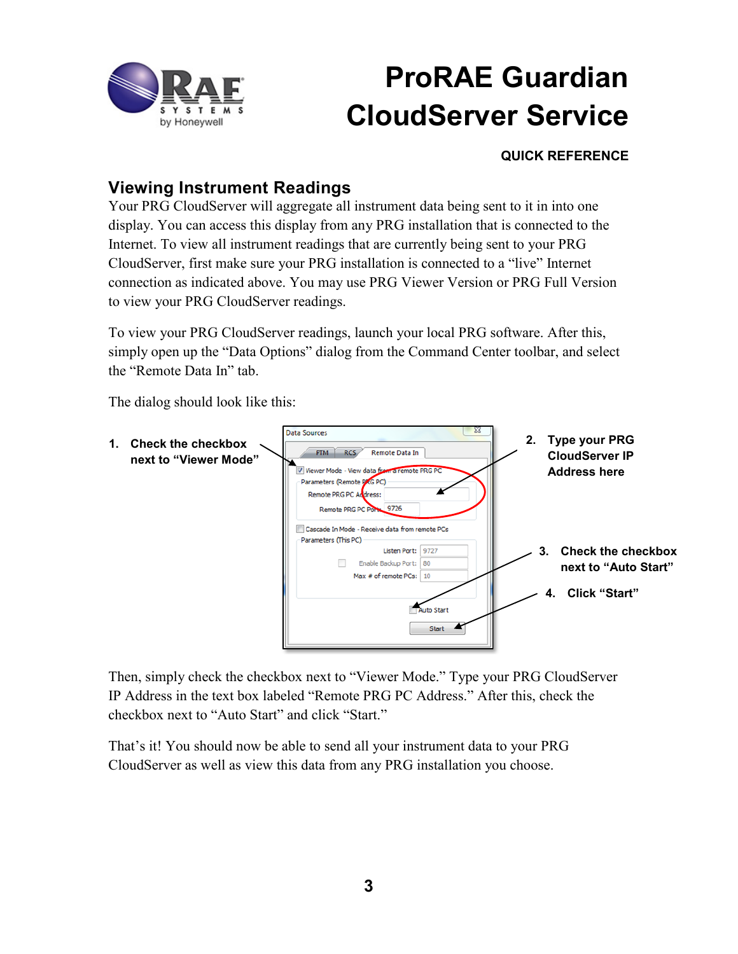

#### **QUICK REFERENCE**

### **Viewing Instrument Readings**

Your PRG CloudServer will aggregate all instrument data being sent to it in into one display. You can access this display from any PRG installation that is connected to the Internet. To view all instrument readings that are currently being sent to your PRG CloudServer, first make sure your PRG installation is connected to a "live" Internet connection as indicated above. You may use PRG Viewer Version or PRG Full Version to view your PRG CloudServer readings.

To view your PRG CloudServer readings, launch your local PRG software. After this, simply open up the "Data Options" dialog from the Command Center toolbar, and select the "Remote Data In" tab.

The dialog should look like this:



Then, simply check the checkbox next to "Viewer Mode." Type your PRG CloudServer IP Address in the text box labeled "Remote PRG PC Address." After this, check the checkbox next to "Auto Start" and click "Start."

That's it! You should now be able to send all your instrument data to your PRG CloudServer as well as view this data from any PRG installation you choose.